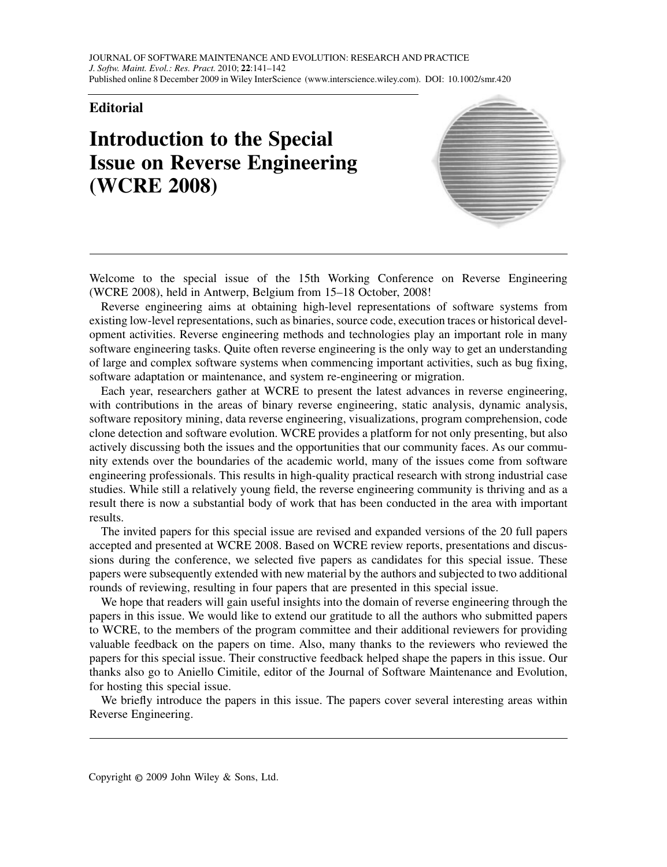JOURNAL OF SOFTWARE MAINTENANCE AND EVOLUTION: RESEARCH AND PRACTICE *J. Softw. Maint. Evol.: Res. Pract.* 2010; **22**:141–142 Published online 8 December 2009 in Wiley InterScience (www.interscience.wiley.com). DOI: 10.1002/smr.420

# **Editorial**

# **Introduction to the Special Issue on Reverse Engineering (WCRE 2008)**



Welcome to the special issue of the 15th Working Conference on Reverse Engineering (WCRE 2008), held in Antwerp, Belgium from 15–18 October, 2008!

Reverse engineering aims at obtaining high-level representations of software systems from existing low-level representations, such as binaries, source code, execution traces or historical development activities. Reverse engineering methods and technologies play an important role in many software engineering tasks. Quite often reverse engineering is the only way to get an understanding of large and complex software systems when commencing important activities, such as bug fixing, software adaptation or maintenance, and system re-engineering or migration.

Each year, researchers gather at WCRE to present the latest advances in reverse engineering, with contributions in the areas of binary reverse engineering, static analysis, dynamic analysis, software repository mining, data reverse engineering, visualizations, program comprehension, code clone detection and software evolution. WCRE provides a platform for not only presenting, but also actively discussing both the issues and the opportunities that our community faces. As our community extends over the boundaries of the academic world, many of the issues come from software engineering professionals. This results in high-quality practical research with strong industrial case studies. While still a relatively young field, the reverse engineering community is thriving and as a result there is now a substantial body of work that has been conducted in the area with important results.

The invited papers for this special issue are revised and expanded versions of the 20 full papers accepted and presented at WCRE 2008. Based on WCRE review reports, presentations and discussions during the conference, we selected five papers as candidates for this special issue. These papers were subsequently extended with new material by the authors and subjected to two additional rounds of reviewing, resulting in four papers that are presented in this special issue.

We hope that readers will gain useful insights into the domain of reverse engineering through the papers in this issue. We would like to extend our gratitude to all the authors who submitted papers to WCRE, to the members of the program committee and their additional reviewers for providing valuable feedback on the papers on time. Also, many thanks to the reviewers who reviewed the papers for this special issue. Their constructive feedback helped shape the papers in this issue. Our thanks also go to Aniello Cimitile, editor of the Journal of Software Maintenance and Evolution, for hosting this special issue.

We briefly introduce the papers in this issue. The papers cover several interesting areas within Reverse Engineering.